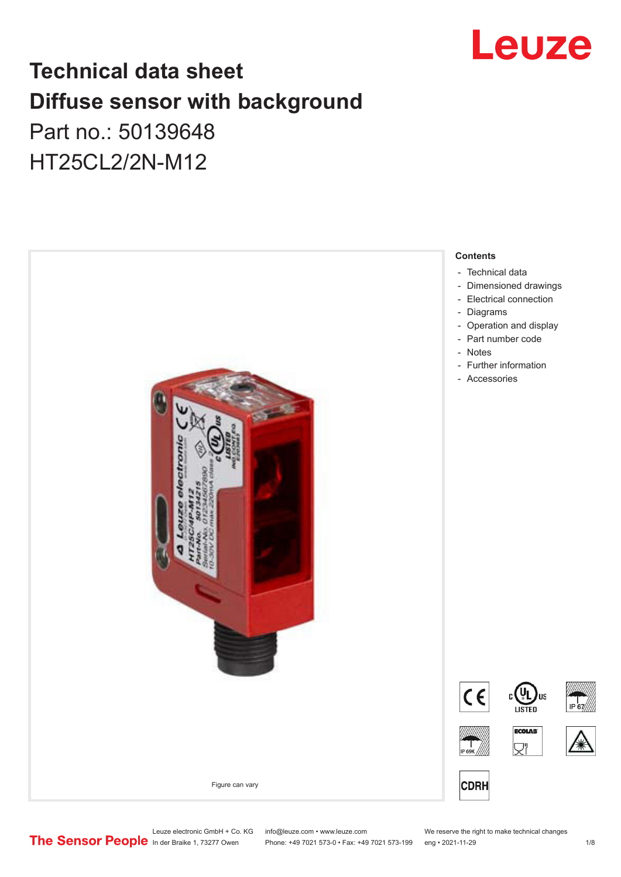

## **Technical data sheet Diffuse sensor with background**  Part no.: 50139648

HT25CL2/2N-M12



Leuze electronic GmbH + Co. KG info@leuze.com • www.leuze.com We reserve the right to make technical changes<br>
The Sensor People in der Braike 1, 73277 Owen Phone: +49 7021 573-0 • Fax: +49 7021 573-199 eng • 2021-11-29

Phone: +49 7021 573-0 • Fax: +49 7021 573-199 eng • 2021-11-29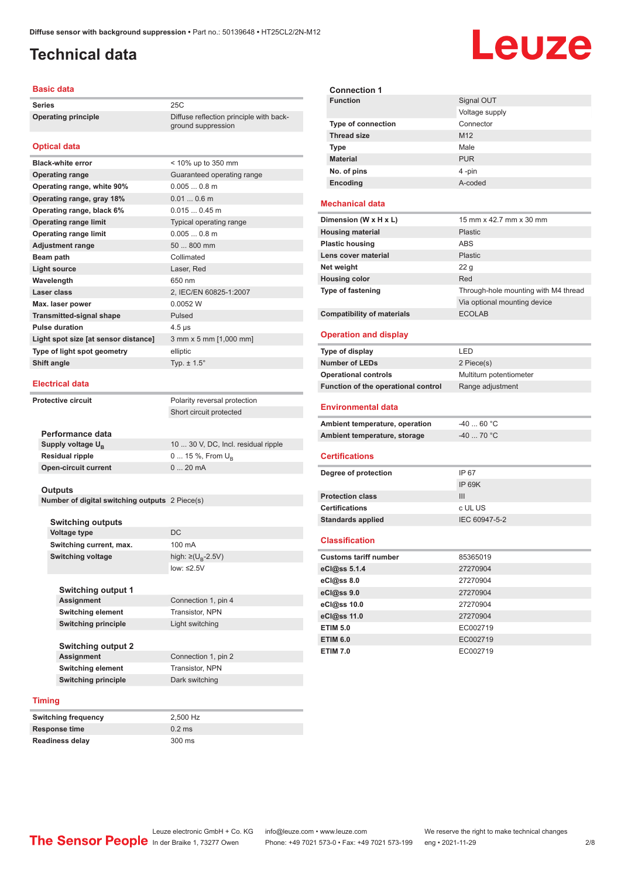ground suppression

## <span id="page-1-0"></span>**Technical data**

#### **Basic data**

**Series** 25C **Operating principle** Diffuse reflection principle with back-

#### **Optical data**

| <b>Black-white error</b>             | $<$ 10% up to 350 mm       |
|--------------------------------------|----------------------------|
| <b>Operating range</b>               | Guaranteed operating range |
| Operating range, white 90%           | $0.0050.8$ m               |
| Operating range, gray 18%            | $0.010.6$ m                |
| Operating range, black 6%            | $0.0150.45$ m              |
| <b>Operating range limit</b>         | Typical operating range    |
| <b>Operating range limit</b>         | $0.0050.8$ m               |
| <b>Adjustment range</b>              | 50  800 mm                 |
| Beam path                            | Collimated                 |
| <b>Light source</b>                  | Laser, Red                 |
| Wavelength                           | 650 nm                     |
| Laser class                          | 2, IEC/EN 60825-1:2007     |
| Max. laser power                     | 0.0052 W                   |
| <b>Transmitted-signal shape</b>      | Pulsed                     |
| <b>Pulse duration</b>                | $4.5 \,\mu s$              |
| Light spot size [at sensor distance] | 3 mm x 5 mm [1,000 mm]     |
| Type of light spot geometry          | elliptic                   |
| Shift angle                          | Typ. $\pm 1.5^{\circ}$     |
|                                      |                            |

#### **Electrical data**

**Performance data Supply voltage U<sub>B</sub>** 

**Residual ripple Open-circuit current** 

**Protective circuit** Polarity reversal protection Short circuit protected

| 10  30 V, DC, Incl. residual ripple |
|-------------------------------------|
| 0  15 %, From $U_{\rm B}$           |
| $020$ mA                            |
|                                     |

#### **Outputs**

**Number of digital switching outputs** 2 Piece(s)

#### **Switching outputs**

| <b>Voltage type</b>       | DC.                                |
|---------------------------|------------------------------------|
| Switching current, max.   | 100 mA                             |
| <b>Switching voltage</b>  | high: $\geq (U_{\text{B}} - 2.5V)$ |
|                           | low: $\leq 2.5V$                   |
|                           |                                    |
| <b>Switching output 1</b> |                                    |
| <b>Assignment</b>         | Connection 1, pin 4                |
| <b>Switching element</b>  | <b>Transistor, NPN</b>             |

**Switching principle** Light switching **Switching output 2 Assignment** Connection 1, pin 2<br> **Switching element** Transistor, NPN **Switching element Switching principle** Dark switching

#### **Timing**

| <b>Switching frequency</b> | 2.500 Hz |
|----------------------------|----------|
| Response time              | $0.2$ ms |
| <b>Readiness delay</b>     | 300 ms   |

| <b>Connection 1</b>                              |                                      |
|--------------------------------------------------|--------------------------------------|
| <b>Function</b>                                  | Signal OUT                           |
|                                                  | Voltage supply                       |
| <b>Type of connection</b>                        | Connector                            |
| <b>Thread size</b>                               | M <sub>12</sub>                      |
| <b>Type</b>                                      | Male                                 |
| <b>Material</b>                                  | <b>PUR</b>                           |
| No. of pins                                      | 4 -pin                               |
| Encoding                                         | A-coded                              |
| <b>Mechanical data</b>                           |                                      |
| Dimension (W x H x L)                            | 15 mm x 42.7 mm x 30 mm              |
| <b>Housing material</b>                          | Plastic                              |
| <b>Plastic housing</b>                           | <b>ABS</b>                           |
| Lens cover material                              | Plastic                              |
| Net weight                                       | 22 <sub>g</sub>                      |
| <b>Housing color</b>                             | Red                                  |
| <b>Type of fastening</b>                         | Through-hole mounting with M4 thread |
|                                                  | Via optional mounting device         |
| <b>Compatibility of materials</b>                | <b>ECOLAB</b>                        |
|                                                  |                                      |
| <b>Operation and display</b>                     |                                      |
| Type of display                                  | LED                                  |
| <b>Number of LEDs</b>                            | 2 Piece(s)                           |
| <b>Operational controls</b>                      | Multiturn potentiometer              |
| Function of the operational control              | Range adjustment                     |
| <b>Environmental data</b>                        |                                      |
| Ambient temperature, operation                   | $-40$ 60 °C                          |
| Ambient temperature, storage                     | $-40$ 70 °C                          |
| <b>Certifications</b>                            |                                      |
|                                                  |                                      |
| Degree of protection                             | IP 67                                |
|                                                  | <b>IP 69K</b>                        |
| <b>Protection class</b><br><b>Certifications</b> | Ш                                    |
|                                                  | c UL US                              |
| <b>Standards applied</b>                         | IEC 60947-5-2                        |
| <b>Classification</b>                            |                                      |
| <b>Customs tariff number</b>                     | 85365019                             |
| eCl@ss 5.1.4                                     | 27270904                             |
| eCl@ss 8.0                                       | 27270904                             |
| eCl@ss 9.0                                       | 27270904                             |
|                                                  | 27270904                             |
| eCl@ss 10.0                                      |                                      |
| eCl@ss 11.0                                      | 27270904                             |
| <b>ETIM 5.0</b>                                  | EC002719                             |
| <b>ETIM 6.0</b>                                  | EC002719                             |
| <b>ETIM 7.0</b>                                  | EC002719                             |

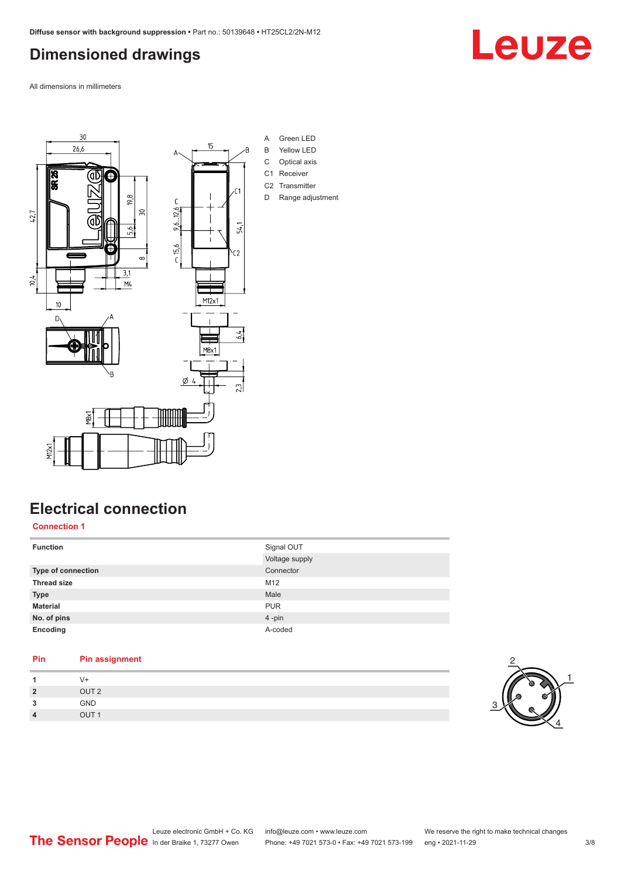### <span id="page-2-0"></span>**Dimensioned drawings**

All dimensions in millimeters



### **Electrical connection**

**Connection 1**

| <b>Function</b>           | Signal OUT     |
|---------------------------|----------------|
|                           | Voltage supply |
| <b>Type of connection</b> | Connector      |
| <b>Thread size</b>        | M12            |
| <b>Type</b>               | Male           |
| <b>Material</b>           | <b>PUR</b>     |
| No. of pins               | 4-pin          |
| Encoding                  | A-coded        |
|                           |                |

#### **Pin Pin assignment** 1 V<sup>+</sup><br>2 OL **2** OUT 2

| __                     | $- - - -$        |
|------------------------|------------------|
| $\mathbf{\Omega}$<br>۰ | <b>GND</b>       |
| 4                      | OUT <sub>1</sub> |
|                        |                  |

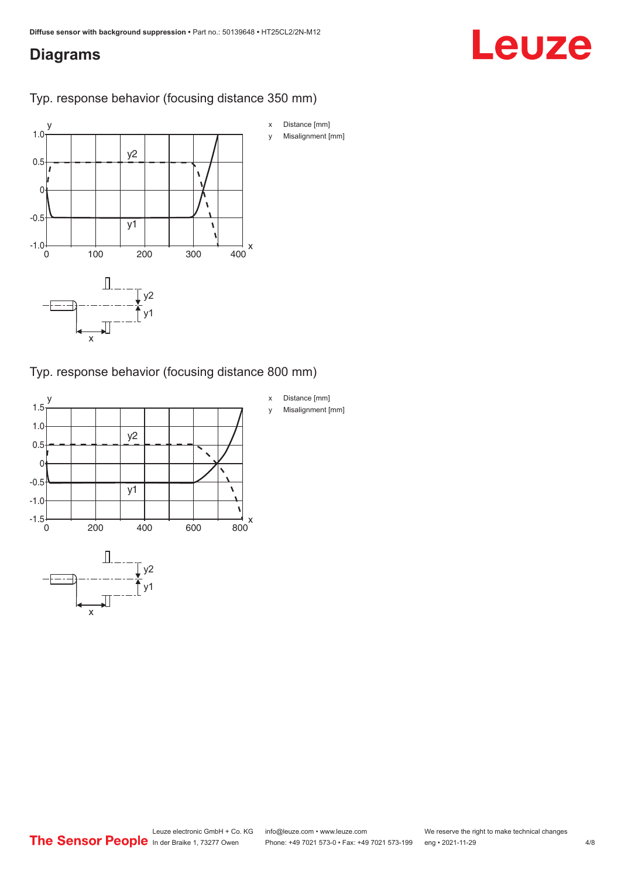### <span id="page-3-0"></span>**Diagrams**

## Leuze

#### Typ. response behavior (focusing distance 350 mm)



#### Typ. response behavior (focusing distance 800 mm)



Leuze electronic GmbH + Co. KG info@leuze.com • www.leuze.com We reserve the right to make technical changes<br>
The Sensor People in der Braike 1, 73277 Owen Phone: +49 7021 573-0 • Fax: +49 7021 573-199 eng • 2021-11-29 Phone: +49 7021 573-0 • Fax: +49 7021 573-199 eng • 2021-11-29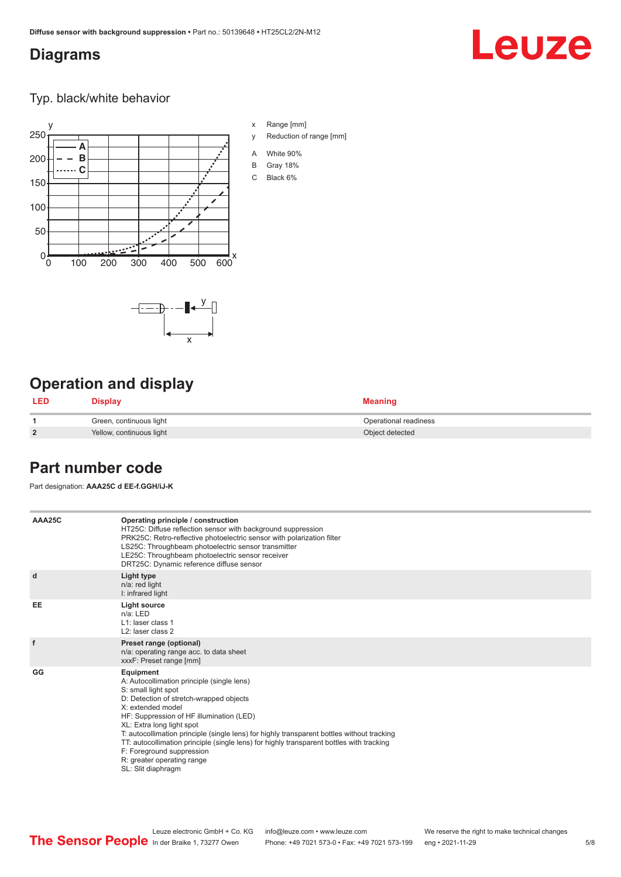#### <span id="page-4-0"></span>**Diagrams**

## Leuze

Typ. black/white behavior



x

 $-\overline{...}$   $-\overline{...}$   $-\overline{...}$ 

x Range [mm]

- y Reduction of range [mm]
- A White 90%
- B Gray 18%
- C Black 6%



| <b>LED</b>     | <b>Display</b>           | <b>Meaning</b>        |
|----------------|--------------------------|-----------------------|
|                | Green, continuous light  | Operational readiness |
| $\overline{2}$ | Yellow, continuous light | Object detected       |

#### **Part number code**

Part designation: **AAA25C d EE-f.GGH/iJ-K**

| AAA25C | Operating principle / construction<br>HT25C: Diffuse reflection sensor with background suppression<br>PRK25C: Retro-reflective photoelectric sensor with polarization filter<br>LS25C: Throughbeam photoelectric sensor transmitter<br>LE25C: Throughbeam photoelectric sensor receiver<br>DRT25C: Dynamic reference diffuse sensor                                                                                                                                                                |
|--------|----------------------------------------------------------------------------------------------------------------------------------------------------------------------------------------------------------------------------------------------------------------------------------------------------------------------------------------------------------------------------------------------------------------------------------------------------------------------------------------------------|
| d      | Light type<br>n/a: red light<br>I: infrared light                                                                                                                                                                                                                                                                                                                                                                                                                                                  |
| EE     | Light source<br>$n/a$ : LED<br>L1: laser class 1<br>$L2$ : laser class 2                                                                                                                                                                                                                                                                                                                                                                                                                           |
| f      | Preset range (optional)<br>n/a: operating range acc. to data sheet<br>xxxF: Preset range [mm]                                                                                                                                                                                                                                                                                                                                                                                                      |
| GG     | Equipment<br>A: Autocollimation principle (single lens)<br>S: small light spot<br>D: Detection of stretch-wrapped objects<br>X: extended model<br>HF: Suppression of HF illumination (LED)<br>XL: Extra long light spot<br>T: autocollimation principle (single lens) for highly transparent bottles without tracking<br>TT: autocollimation principle (single lens) for highly transparent bottles with tracking<br>F: Foreground suppression<br>R: greater operating range<br>SL: Slit diaphragm |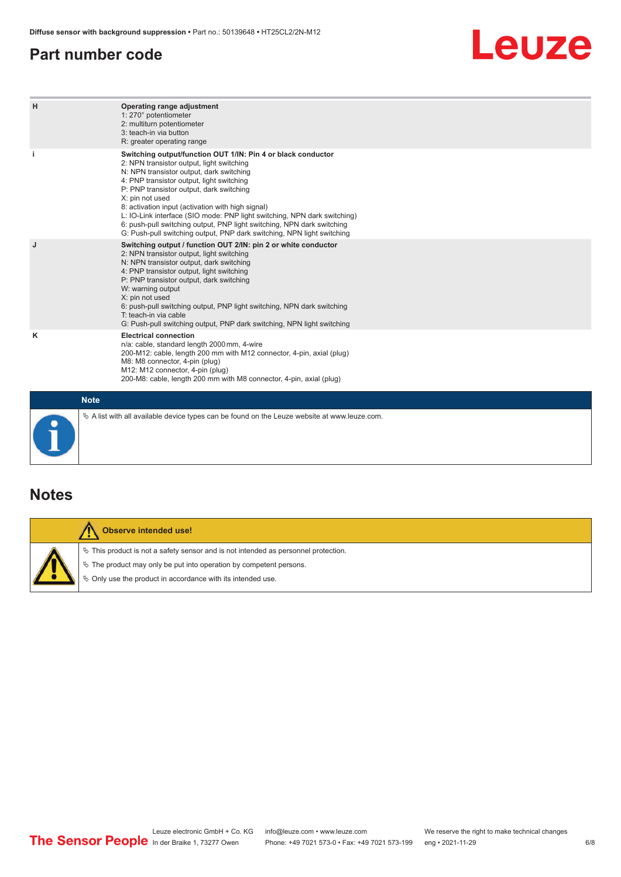#### <span id="page-5-0"></span>**Part number code**

## Leuze

| H           | Operating range adjustment<br>1: 270° potentiometer<br>2: multiturn potentiometer<br>3: teach-in via button<br>R: greater operating range                                                                                                                                                                                                                                                                                                                                                                                                              |
|-------------|--------------------------------------------------------------------------------------------------------------------------------------------------------------------------------------------------------------------------------------------------------------------------------------------------------------------------------------------------------------------------------------------------------------------------------------------------------------------------------------------------------------------------------------------------------|
|             | Switching output/function OUT 1/IN: Pin 4 or black conductor<br>2: NPN transistor output, light switching<br>N: NPN transistor output, dark switching<br>4: PNP transistor output, light switching<br>P: PNP transistor output, dark switching<br>X: pin not used<br>8: activation input (activation with high signal)<br>L: IO-Link interface (SIO mode: PNP light switching, NPN dark switching)<br>6: push-pull switching output, PNP light switching, NPN dark switching<br>G: Push-pull switching output, PNP dark switching, NPN light switching |
| J           | Switching output / function OUT 2/IN: pin 2 or white conductor<br>2: NPN transistor output, light switching<br>N: NPN transistor output, dark switching<br>4: PNP transistor output, light switching<br>P: PNP transistor output, dark switching<br>W: warning output<br>X: pin not used<br>6: push-pull switching output, PNP light switching, NPN dark switching<br>T: teach-in via cable<br>G: Push-pull switching output, PNP dark switching, NPN light switching                                                                                  |
| κ           | <b>Electrical connection</b><br>n/a: cable, standard length 2000 mm, 4-wire<br>200-M12: cable, length 200 mm with M12 connector, 4-pin, axial (plug)<br>M8: M8 connector, 4-pin (plug)<br>M12: M12 connector, 4-pin (plug)<br>200-M8: cable, length 200 mm with M8 connector, 4-pin, axial (plug)                                                                                                                                                                                                                                                      |
| <b>Note</b> |                                                                                                                                                                                                                                                                                                                                                                                                                                                                                                                                                        |

#### **Notes**

Т

| <b>Observe intended use!</b>                                                                                                                                                                                                     |
|----------------------------------------------------------------------------------------------------------------------------------------------------------------------------------------------------------------------------------|
| $\%$ This product is not a safety sensor and is not intended as personnel protection.<br>$\&$ The product may only be put into operation by competent persons.<br>$\%$ Only use the product in accordance with its intended use. |

 $\%$  A list with all available device types can be found on the Leuze website at www.leuze.com.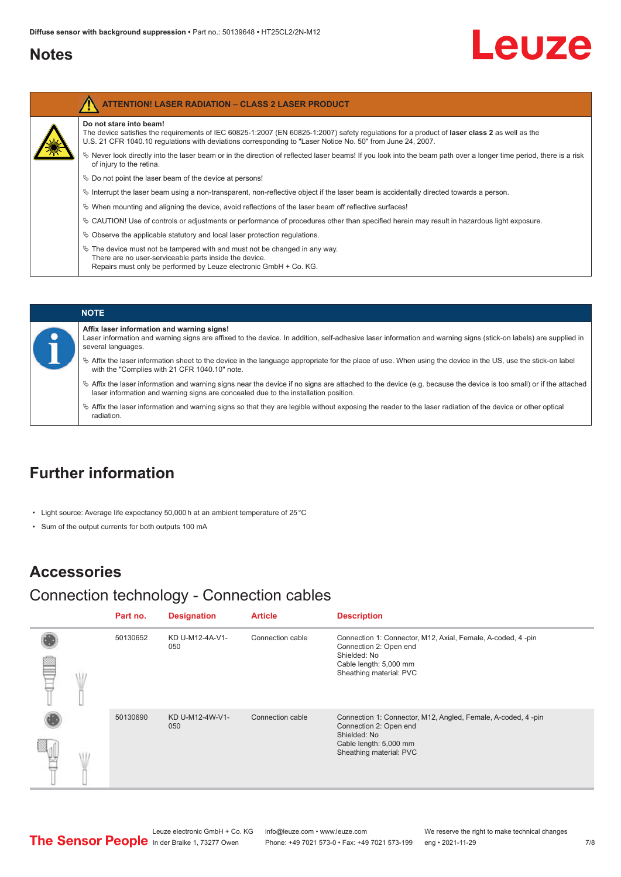#### <span id="page-6-0"></span>**Notes**

# Leuze

| Do not stare into beam!                                                                                                                                                                                                                                    |
|------------------------------------------------------------------------------------------------------------------------------------------------------------------------------------------------------------------------------------------------------------|
| The device satisfies the requirements of IEC 60825-1:2007 (EN 60825-1:2007) safety regulations for a product of laser class 2 as well as the<br>U.S. 21 CFR 1040.10 regulations with deviations corresponding to "Laser Notice No. 50" from June 24, 2007. |
| Never look directly into the laser beam or in the direction of reflected laser beams! If you look into the beam path over a longer time period, there is a risk<br>of injury to the retina.                                                                |
| $\&$ Do not point the laser beam of the device at persons!                                                                                                                                                                                                 |
| $\%$ Interrupt the laser beam using a non-transparent, non-reflective object if the laser beam is accidentally directed towards a person.                                                                                                                  |
| $\%$ When mounting and aligning the device, avoid reflections of the laser beam off reflective surfaces!                                                                                                                                                   |
| $\&$ CAUTION! Use of controls or adjustments or performance of procedures other than specified herein may result in hazardous light exposure.                                                                                                              |
| $\%$ Observe the applicable statutory and local laser protection regulations.                                                                                                                                                                              |
| $\%$ The device must not be tampered with and must not be changed in any way.<br>There are no user-serviceable parts inside the device.<br>Repairs must only be performed by Leuze electronic GmbH + Co. KG.                                               |

| <b>NOTE</b>                                                                                                                                                                                                                                                         |
|---------------------------------------------------------------------------------------------------------------------------------------------------------------------------------------------------------------------------------------------------------------------|
| Affix laser information and warning signs!<br>Laser information and warning signs are affixed to the device. In addition, self-adhesive laser information and warning signs (stick-on labels) are supplied in<br>several languages.                                 |
| Affix the laser information sheet to the device in the language appropriate for the place of use. When using the device in the US, use the stick-on label<br>with the "Complies with 21 CFR 1040.10" note.                                                          |
| $\frac{1}{2}$ Affix the laser information and warning signs near the device if no signs are attached to the device (e.g. because the device is too small) or if the attached<br>laser information and warning signs are concealed due to the installation position. |
| $\%$ Affix the laser information and warning signs so that they are legible without exposing the reader to the laser radiation of the device or other optical<br>radiation.                                                                                         |

### **Further information**

- Light source: Average life expectancy 50,000 h at an ambient temperature of 25 °C
- Sum of the output currents for both outputs 100 mA

#### **Accessories**

### Connection technology - Connection cables

|  | Part no. | <b>Designation</b>     | <b>Article</b>   | <b>Description</b>                                                                                                                                          |
|--|----------|------------------------|------------------|-------------------------------------------------------------------------------------------------------------------------------------------------------------|
|  | 50130652 | KD U-M12-4A-V1-<br>050 | Connection cable | Connection 1: Connector, M12, Axial, Female, A-coded, 4-pin<br>Connection 2: Open end<br>Shielded: No<br>Cable length: 5,000 mm<br>Sheathing material: PVC  |
|  | 50130690 | KD U-M12-4W-V1-<br>050 | Connection cable | Connection 1: Connector, M12, Angled, Female, A-coded, 4-pin<br>Connection 2: Open end<br>Shielded: No<br>Cable length: 5,000 mm<br>Sheathing material: PVC |